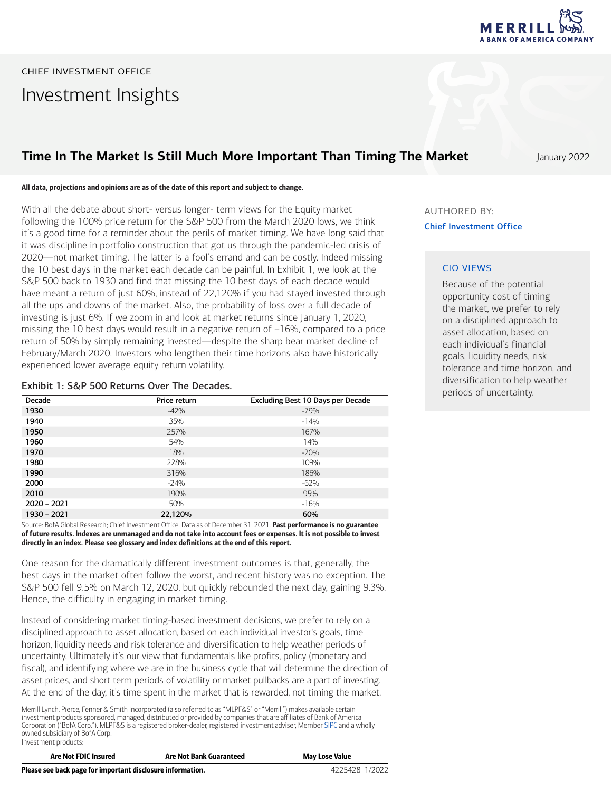

# CHIEF INVESTMENT OFFICE Investment Insights

### **Time In The Market Is Still Much More Important Than Timing The Market** January 2022

All data, projections and opinions are as of the date of this report and subject to change.

With all the debate about short- versus longer- term views for the Equity market following the 100% price return for the S&P 500 from the March 2020 lows, we think it's a good time for a reminder about the perils of market timing. We have long said that it was discipline in portfolio construction that got us through the pandemic-led crisis of 2020―not market timing. The latter is a fool's errand and can be costly. Indeed missing the 10 best days in the market each decade can be painful. In Exhibit 1, we look at the S&P 500 back to 1930 and find that missing the 10 best days of each decade would have meant a return of just 60%, instead of 22,120% if you had stayed invested through all the ups and downs of the market. Also, the probability of loss over a full decade of investing is just 6%. If we zoom in and look at market returns since January 1, 2020, missing the 10 best days would result in a negative return of –16%, compared to a price return of 50% by simply remaining invested―despite the sharp bear market decline of February/March 2020. Investors who lengthen their time horizons also have historically experienced lower average equity return volatility.

#### Exhibit 1: S&P 500 Returns Over The Decades.

| Decade        | Price return | Excluding Best 10 Days per Decade |
|---------------|--------------|-----------------------------------|
| 1930          | $-42%$       | $-79%$                            |
| 1940          | 35%          | $-14%$                            |
| 1950          | 257%         | 167%                              |
| 1960          | 54%          | 14%                               |
| 1970          | 18%          | $-20%$                            |
| 1980          | 228%         | 109%                              |
| 1990          | 316%         | 186%                              |
| 2000          | $-24%$       | $-62%$                            |
| 2010          | 190%         | 95%                               |
| $2020 - 2021$ | 50%          | $-16%$                            |
| 1930 - 2021   | 22,120%      | 60%                               |

Source: BofA Global Research; Chief Investment Office. Data as of December 31, 2021. Past performance is no guarantee of future results. lndexes are unmanaged and do not take into account fees or expenses. It is not possible to invest directly in an index. Please see glossary and index definitions at the end of this report.

One reason for the dramatically different investment outcomes is that, generally, the best days in the market often follow the worst, and recent history was no exception. The S&P 500 fell 9.5% on March 12, 2020, but quickly rebounded the next day, gaining 9.3%. Hence, the difficulty in engaging in market timing.

Instead of considering market timing-based investment decisions, we prefer to rely on a disciplined approach to asset allocation, based on each individual investor's goals, time horizon, liquidity needs and risk tolerance and diversification to help weather periods of uncertainty. Ultimately it's our view that fundamentals like profits, policy (monetary and fiscal), and identifying where we are in the business cycle that will determine the direction of asset prices, and short term periods of volatility or market pullbacks are a part of investing. At the end of the day, it's time spent in the market that is rewarded, not timing the market.

Merrill Lynch, Pierce, Fenner & Smith Incorporated (also referred to as "MLPF&S" or "Merrill") makes available certain investment products sponsored, managed, distributed or provided by companies that are affiliates of Bank of America Corporation ("BofA Corp."). MLPF&S is a registered broker-dealer, registered investment adviser, Member [SIPC](https://www.sipc.org/) and a wholly owned subsidiary of BofA Corp. Investment products:

|    | <b>Are Not FDIC Insured</b> | <b>Are Not Bank Guaranteed</b> | <b>May Lose Value</b> |
|----|-----------------------------|--------------------------------|-----------------------|
| -- |                             |                                | .                     |

AUTHORED BY: Chief Investment Office

### CIO VIEWS

Because of the potential opportunity cost of timing the market, we prefer to rely on a disciplined approach to asset allocation, based on each individual's financial goals, liquidity needs, risk tolerance and time horizon, and diversification to help weather periods of uncertainty.